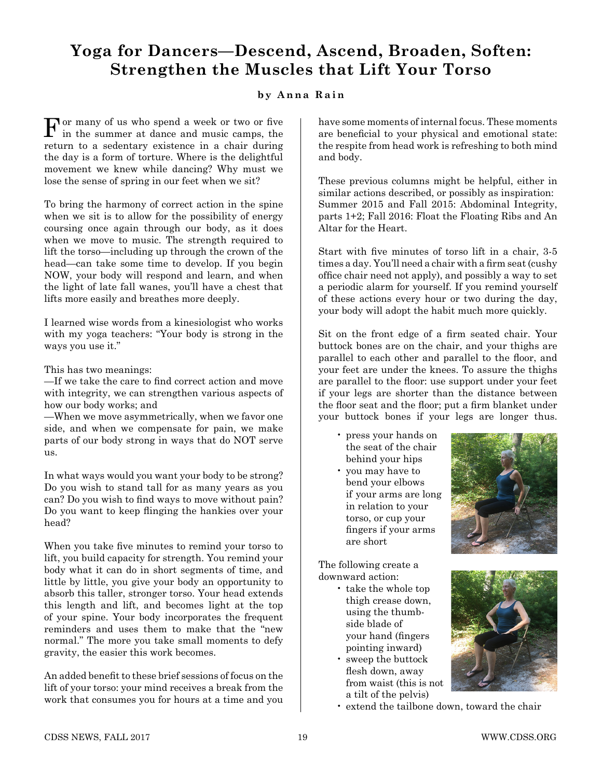## **Yoga for Dancers—Descend, Ascend, Broaden, Soften: Strengthen the Muscles that Lift Your Torso**

## **by Anna Rain**

For many of us who spend a week or two or five in the summer at dance and music camps, the return to a sedentary existence in a chair during the day is a form of torture. Where is the delightful movement we knew while dancing? Why must we lose the sense of spring in our feet when we sit?

To bring the harmony of correct action in the spine when we sit is to allow for the possibility of energy coursing once again through our body, as it does when we move to music. The strength required to lift the torso—including up through the crown of the head—can take some time to develop. If you begin NOW, your body will respond and learn, and when the light of late fall wanes, you'll have a chest that lifts more easily and breathes more deeply.

I learned wise words from a kinesiologist who works with my yoga teachers: "Your body is strong in the ways you use it."

This has two meanings:

—If we take the care to find correct action and move with integrity, we can strengthen various aspects of how our body works; and

—When we move asymmetrically, when we favor one side, and when we compensate for pain, we make parts of our body strong in ways that do NOT serve us.

In what ways would you want your body to be strong? Do you wish to stand tall for as many years as you can? Do you wish to find ways to move without pain? Do you want to keep flinging the hankies over your head?

When you take five minutes to remind your torso to lift, you build capacity for strength. You remind your body what it can do in short segments of time, and little by little, you give your body an opportunity to absorb this taller, stronger torso. Your head extends this length and lift, and becomes light at the top of your spine. Your body incorporates the frequent reminders and uses them to make that the "new normal." The more you take small moments to defy gravity, the easier this work becomes.

An added benefit to these brief sessions of focus on the lift of your torso: your mind receives a break from the work that consumes you for hours at a time and you have some moments of internal focus. These moments are beneficial to your physical and emotional state: the respite from head work is refreshing to both mind and body.

These previous columns might be helpful, either in similar actions described, or possibly as inspiration: Summer 2015 and Fall 2015: Abdominal Integrity, parts 1+2; Fall 2016: Float the Floating Ribs and An Altar for the Heart.

Start with five minutes of torso lift in a chair, 3-5 times a day. You'll need a chair with a firm seat (cushy office chair need not apply), and possibly a way to set a periodic alarm for yourself. If you remind yourself of these actions every hour or two during the day, your body will adopt the habit much more quickly.

Sit on the front edge of a firm seated chair. Your buttock bones are on the chair, and your thighs are parallel to each other and parallel to the floor, and your feet are under the knees. To assure the thighs are parallel to the floor: use support under your feet if your legs are shorter than the distance between the floor seat and the floor; put a firm blanket under your buttock bones if your legs are longer thus.

- press your hands on the seat of the chair behind your hips
- you may have to bend your elbows if your arms are long in relation to your torso, or cup your fingers if your arms are short



The following create a downward action:

- take the whole top thigh crease down, using the thumb side blade of your hand (fingers pointing inward)
- sweep the buttock flesh down, away from waist (this is not a tilt of the pelvis)



• extend the tailbone down, toward the chair